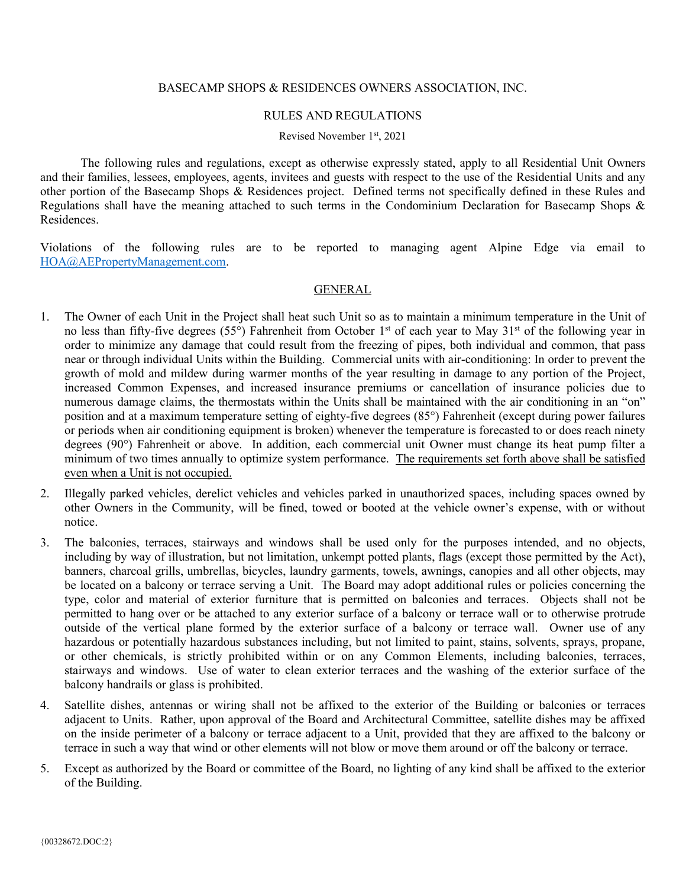### BASECAMP SHOPS & RESIDENCES OWNERS ASSOCIATION, INC.

#### RULES AND REGULATIONS

Revised November 1st, 2021

The following rules and regulations, except as otherwise expressly stated, apply to all Residential Unit Owners and their families, lessees, employees, agents, invitees and guests with respect to the use of the Residential Units and any other portion of the Basecamp Shops & Residences project. Defined terms not specifically defined in these Rules and Regulations shall have the meaning attached to such terms in the Condominium Declaration for Basecamp Shops & Residences.

Violations of the following rules are to be reported to managing agent Alpine Edge via email to [HOA@AEPropertyManagement.com.](mailto:HOA@AEPropertyManagement.com)

### **GENERAL**

- 1. The Owner of each Unit in the Project shall heat such Unit so as to maintain a minimum temperature in the Unit of no less than fifty-five degrees (55°) Fahrenheit from October 1<sup>st</sup> of each year to May 31<sup>st</sup> of the following year in order to minimize any damage that could result from the freezing of pipes, both individual and common, that pass near or through individual Units within the Building. Commercial units with air-conditioning: In order to prevent the growth of mold and mildew during warmer months of the year resulting in damage to any portion of the Project, increased Common Expenses, and increased insurance premiums or cancellation of insurance policies due to numerous damage claims, the thermostats within the Units shall be maintained with the air conditioning in an "on" position and at a maximum temperature setting of eighty-five degrees (85°) Fahrenheit (except during power failures or periods when air conditioning equipment is broken) whenever the temperature is forecasted to or does reach ninety degrees (90°) Fahrenheit or above. In addition, each commercial unit Owner must change its heat pump filter a minimum of two times annually to optimize system performance. The requirements set forth above shall be satisfied even when a Unit is not occupied.
- 2. Illegally parked vehicles, derelict vehicles and vehicles parked in unauthorized spaces, including spaces owned by other Owners in the Community, will be fined, towed or booted at the vehicle owner's expense, with or without notice.
- 3. The balconies, terraces, stairways and windows shall be used only for the purposes intended, and no objects, including by way of illustration, but not limitation, unkempt potted plants, flags (except those permitted by the Act), banners, charcoal grills, umbrellas, bicycles, laundry garments, towels, awnings, canopies and all other objects, may be located on a balcony or terrace serving a Unit. The Board may adopt additional rules or policies concerning the type, color and material of exterior furniture that is permitted on balconies and terraces. Objects shall not be permitted to hang over or be attached to any exterior surface of a balcony or terrace wall or to otherwise protrude outside of the vertical plane formed by the exterior surface of a balcony or terrace wall. Owner use of any hazardous or potentially hazardous substances including, but not limited to paint, stains, solvents, sprays, propane, or other chemicals, is strictly prohibited within or on any Common Elements, including balconies, terraces, stairways and windows. Use of water to clean exterior terraces and the washing of the exterior surface of the balcony handrails or glass is prohibited.
- 4. Satellite dishes, antennas or wiring shall not be affixed to the exterior of the Building or balconies or terraces adjacent to Units. Rather, upon approval of the Board and Architectural Committee, satellite dishes may be affixed on the inside perimeter of a balcony or terrace adjacent to a Unit, provided that they are affixed to the balcony or terrace in such a way that wind or other elements will not blow or move them around or off the balcony or terrace.
- 5. Except as authorized by the Board or committee of the Board, no lighting of any kind shall be affixed to the exterior of the Building.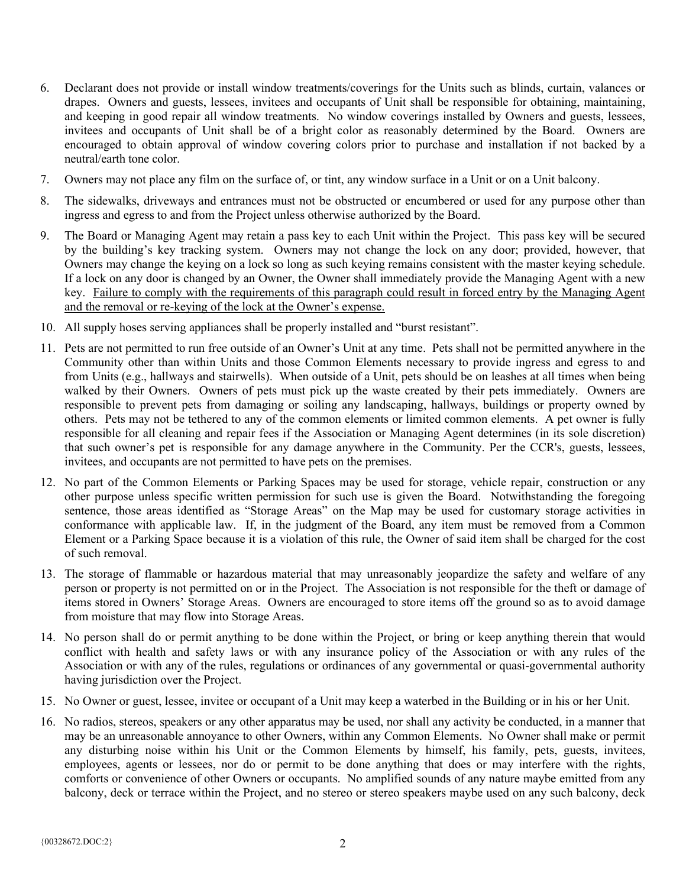- 6. Declarant does not provide or install window treatments/coverings for the Units such as blinds, curtain, valances or drapes. Owners and guests, lessees, invitees and occupants of Unit shall be responsible for obtaining, maintaining, and keeping in good repair all window treatments. No window coverings installed by Owners and guests, lessees, invitees and occupants of Unit shall be of a bright color as reasonably determined by the Board. Owners are encouraged to obtain approval of window covering colors prior to purchase and installation if not backed by a neutral/earth tone color.
- 7. Owners may not place any film on the surface of, or tint, any window surface in a Unit or on a Unit balcony.
- 8. The sidewalks, driveways and entrances must not be obstructed or encumbered or used for any purpose other than ingress and egress to and from the Project unless otherwise authorized by the Board.
- 9. The Board or Managing Agent may retain a pass key to each Unit within the Project. This pass key will be secured by the building's key tracking system. Owners may not change the lock on any door; provided, however, that Owners may change the keying on a lock so long as such keying remains consistent with the master keying schedule. If a lock on any door is changed by an Owner, the Owner shall immediately provide the Managing Agent with a new key. Failure to comply with the requirements of this paragraph could result in forced entry by the Managing Agent and the removal or re-keying of the lock at the Owner's expense.
- 10. All supply hoses serving appliances shall be properly installed and "burst resistant".
- 11. Pets are not permitted to run free outside of an Owner's Unit at any time. Pets shall not be permitted anywhere in the Community other than within Units and those Common Elements necessary to provide ingress and egress to and from Units (e.g., hallways and stairwells). When outside of a Unit, pets should be on leashes at all times when being walked by their Owners. Owners of pets must pick up the waste created by their pets immediately. Owners are responsible to prevent pets from damaging or soiling any landscaping, hallways, buildings or property owned by others. Pets may not be tethered to any of the common elements or limited common elements. A pet owner is fully responsible for all cleaning and repair fees if the Association or Managing Agent determines (in its sole discretion) that such owner's pet is responsible for any damage anywhere in the Community. Per the CCR's, guests, lessees, invitees, and occupants are not permitted to have pets on the premises.
- 12. No part of the Common Elements or Parking Spaces may be used for storage, vehicle repair, construction or any other purpose unless specific written permission for such use is given the Board. Notwithstanding the foregoing sentence, those areas identified as "Storage Areas" on the Map may be used for customary storage activities in conformance with applicable law. If, in the judgment of the Board, any item must be removed from a Common Element or a Parking Space because it is a violation of this rule, the Owner of said item shall be charged for the cost of such removal.
- 13. The storage of flammable or hazardous material that may unreasonably jeopardize the safety and welfare of any person or property is not permitted on or in the Project. The Association is not responsible for the theft or damage of items stored in Owners' Storage Areas. Owners are encouraged to store items off the ground so as to avoid damage from moisture that may flow into Storage Areas.
- 14. No person shall do or permit anything to be done within the Project, or bring or keep anything therein that would conflict with health and safety laws or with any insurance policy of the Association or with any rules of the Association or with any of the rules, regulations or ordinances of any governmental or quasi-governmental authority having jurisdiction over the Project.
- 15. No Owner or guest, lessee, invitee or occupant of a Unit may keep a waterbed in the Building or in his or her Unit.
- 16. No radios, stereos, speakers or any other apparatus may be used, nor shall any activity be conducted, in a manner that may be an unreasonable annoyance to other Owners, within any Common Elements. No Owner shall make or permit any disturbing noise within his Unit or the Common Elements by himself, his family, pets, guests, invitees, employees, agents or lessees, nor do or permit to be done anything that does or may interfere with the rights, comforts or convenience of other Owners or occupants. No amplified sounds of any nature maybe emitted from any balcony, deck or terrace within the Project, and no stereo or stereo speakers maybe used on any such balcony, deck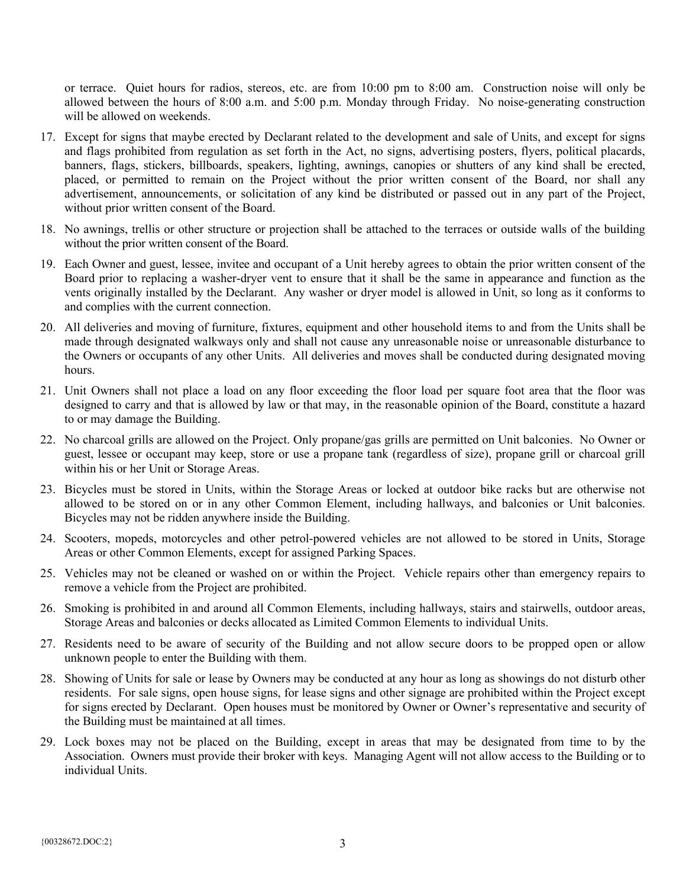or terrace. Quiet hours for radios, stereos, etc. are from 10:00 pm to 8:00 am. Construction noise will only be allowed between the hours of 8:00 a.m. and 5:00 p.m. Monday through Friday. No noise-generating construction will be allowed on weekends.

- 17. Except for signs that maybe erected by Declarant related to the development and sale of Units, and except for signs and flags prohibited from regulation as set forth in the Act, no signs, advertising posters, flyers, political placards, banners, flags, stickers, billboards, speakers, lighting, awnings, canopies or shutters of any kind shall be erected, placed, or permitted to remain on the Project without the prior written consent of the Board, nor shall any advertisement, announcements, or solicitation of any kind be distributed or passed out in any part of the Project, without prior written consent of the Board.
- 18. No awnings, trellis or other structure or projection shall be attached to the terraces or outside walls of the building without the prior written consent of the Board.
- 19. Each Owner and guest, lessee, invitee and occupant of a Unit hereby agrees to obtain the prior written consent of the Board prior to replacing a washer-dryer vent to ensure that it shall be the same in appearance and function as the vents originally installed by the Declarant. Any washer or dryer model is allowed in Unit, so long as it conforms to and complies with the current connection.
- 20. All deliveries and moving of furniture, fixtures, equipment and other household items to and from the Units shall be made through designated walkways only and shall not cause any unreasonable noise or unreasonable disturbance to the Owners or occupants of any other Units. All deliveries and moves shall be conducted during designated moving hours.
- 21. Unit Owners shall not place a load on any floor exceeding the floor load per square foot area that the floor was designed to carry and that is allowed by law or that may, in the reasonable opinion of the Board, constitute a hazard to or may damage the Building.
- 22. No charcoal grills are allowed on the Project. Only propane/gas grills are permitted on Unit balconies. No Owner or guest, lessee or occupant may keep, store or use a propane tank (regardless of size), propane grill or charcoal grill within his or her Unit or Storage Areas.
- 23. Bicycles must be stored in Units, within the Storage Areas or locked at outdoor bike racks but are otherwise not allowed to be stored on or in any other Common Element, including hallways, and balconies or Unit balconies. Bicycles may not be ridden anywhere inside the Building.
- 24. Scooters, mopeds, motorcycles and other petrol-powered vehicles are not allowed to be stored in Units, Storage Areas or other Common Elements, except for assigned Parking Spaces.
- 25. Vehicles may not be cleaned or washed on or within the Project. Vehicle repairs other than emergency repairs to remove a vehicle from the Project are prohibited.
- 26. Smoking is prohibited in and around all Common Elements, including hallways, stairs and stairwells, outdoor areas, Storage Areas and balconies or decks allocated as Limited Common Elements to individual Units.
- 27. Residents need to be aware of security of the Building and not allow secure doors to be propped open or allow unknown people to enter the Building with them.
- 28. Showing of Units for sale or lease by Owners may be conducted at any hour as long as showings do not disturb other residents. For sale signs, open house signs, for lease signs and other signage are prohibited within the Project except for signs erected by Declarant. Open houses must be monitored by Owner or Owner's representative and security of the Building must be maintained at all times.
- 29. Lock boxes may not be placed on the Building, except in areas that may be designated from time to by the Association. Owners must provide their broker with keys. Managing Agent will not allow access to the Building or to individual Units.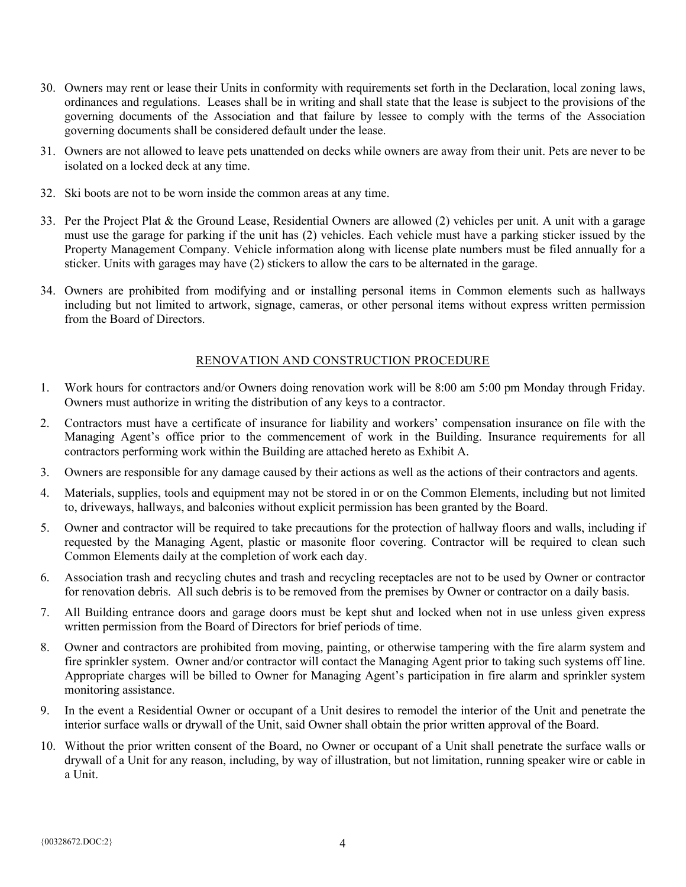- 30. Owners may rent or lease their Units in conformity with requirements set forth in the Declaration, local zoning laws, ordinances and regulations. Leases shall be in writing and shall state that the lease is subject to the provisions of the governing documents of the Association and that failure by lessee to comply with the terms of the Association governing documents shall be considered default under the lease.
- 31. Owners are not allowed to leave pets unattended on decks while owners are away from their unit. Pets are never to be isolated on a locked deck at any time.
- 32. Ski boots are not to be worn inside the common areas at any time.
- 33. Per the Project Plat & the Ground Lease, Residential Owners are allowed (2) vehicles per unit. A unit with a garage must use the garage for parking if the unit has (2) vehicles. Each vehicle must have a parking sticker issued by the Property Management Company. Vehicle information along with license plate numbers must be filed annually for a sticker. Units with garages may have (2) stickers to allow the cars to be alternated in the garage.
- 34. Owners are prohibited from modifying and or installing personal items in Common elements such as hallways including but not limited to artwork, signage, cameras, or other personal items without express written permission from the Board of Directors.

## RENOVATION AND CONSTRUCTION PROCEDURE

- 1. Work hours for contractors and/or Owners doing renovation work will be 8:00 am 5:00 pm Monday through Friday. Owners must authorize in writing the distribution of any keys to a contractor.
- 2. Contractors must have a certificate of insurance for liability and workers' compensation insurance on file with the Managing Agent's office prior to the commencement of work in the Building. Insurance requirements for all contractors performing work within the Building are attached hereto as Exhibit A.
- 3. Owners are responsible for any damage caused by their actions as well as the actions of their contractors and agents.
- 4. Materials, supplies, tools and equipment may not be stored in or on the Common Elements, including but not limited to, driveways, hallways, and balconies without explicit permission has been granted by the Board.
- 5. Owner and contractor will be required to take precautions for the protection of hallway floors and walls, including if requested by the Managing Agent, plastic or masonite floor covering. Contractor will be required to clean such Common Elements daily at the completion of work each day.
- 6. Association trash and recycling chutes and trash and recycling receptacles are not to be used by Owner or contractor for renovation debris. All such debris is to be removed from the premises by Owner or contractor on a daily basis.
- 7. All Building entrance doors and garage doors must be kept shut and locked when not in use unless given express written permission from the Board of Directors for brief periods of time.
- 8. Owner and contractors are prohibited from moving, painting, or otherwise tampering with the fire alarm system and fire sprinkler system. Owner and/or contractor will contact the Managing Agent prior to taking such systems off line. Appropriate charges will be billed to Owner for Managing Agent's participation in fire alarm and sprinkler system monitoring assistance.
- 9. In the event a Residential Owner or occupant of a Unit desires to remodel the interior of the Unit and penetrate the interior surface walls or drywall of the Unit, said Owner shall obtain the prior written approval of the Board.
- 10. Without the prior written consent of the Board, no Owner or occupant of a Unit shall penetrate the surface walls or drywall of a Unit for any reason, including, by way of illustration, but not limitation, running speaker wire or cable in a Unit.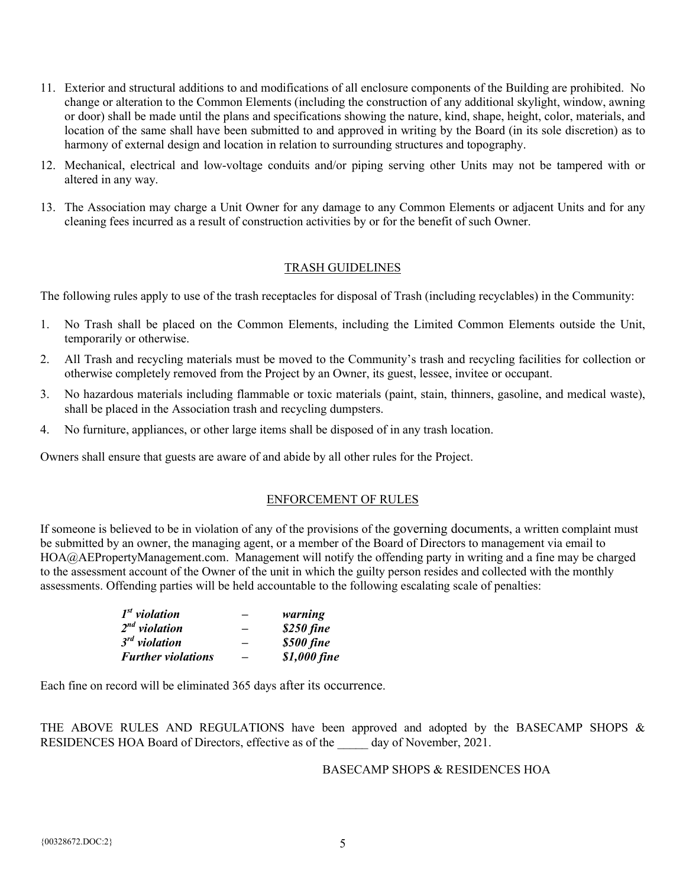- 11. Exterior and structural additions to and modifications of all enclosure components of the Building are prohibited. No change or alteration to the Common Elements (including the construction of any additional skylight, window, awning or door) shall be made until the plans and specifications showing the nature, kind, shape, height, color, materials, and location of the same shall have been submitted to and approved in writing by the Board (in its sole discretion) as to harmony of external design and location in relation to surrounding structures and topography.
- 12. Mechanical, electrical and low-voltage conduits and/or piping serving other Units may not be tampered with or altered in any way.
- 13. The Association may charge a Unit Owner for any damage to any Common Elements or adjacent Units and for any cleaning fees incurred as a result of construction activities by or for the benefit of such Owner.

# TRASH GUIDELINES

The following rules apply to use of the trash receptacles for disposal of Trash (including recyclables) in the Community:

- 1. No Trash shall be placed on the Common Elements, including the Limited Common Elements outside the Unit, temporarily or otherwise.
- 2. All Trash and recycling materials must be moved to the Community's trash and recycling facilities for collection or otherwise completely removed from the Project by an Owner, its guest, lessee, invitee or occupant.
- 3. No hazardous materials including flammable or toxic materials (paint, stain, thinners, gasoline, and medical waste), shall be placed in the Association trash and recycling dumpsters.
- 4. No furniture, appliances, or other large items shall be disposed of in any trash location.

Owners shall ensure that guests are aware of and abide by all other rules for the Project.

## ENFORCEMENT OF RULES

If someone is believed to be in violation of any of the provisions of the governing documents, a written complaint must be submitted by an owner, the managing agent, or a member of the Board of Directors to management via email to HOA@AEPropertyManagement.com. Management will notify the offending party in writing and a fine may be charged to the assessment account of the Owner of the unit in which the guilty person resides and collected with the monthly assessments. Offending parties will be held accountable to the following escalating scale of penalties:

| $Ist$ violation           | -                        | warning      |
|---------------------------|--------------------------|--------------|
| $2^{nd}$ violation        | -                        | \$250 fine   |
| $3rd$ violation           | -                        | \$500 fine   |
| <b>Further violations</b> | $\overline{\phantom{0}}$ | \$1,000 fine |

Each fine on record will be eliminated 365 days after its occurrence.

THE ABOVE RULES AND REGULATIONS have been approved and adopted by the BASECAMP SHOPS & RESIDENCES HOA Board of Directors, effective as of the day of November, 2021.

## BASECAMP SHOPS & RESIDENCES HOA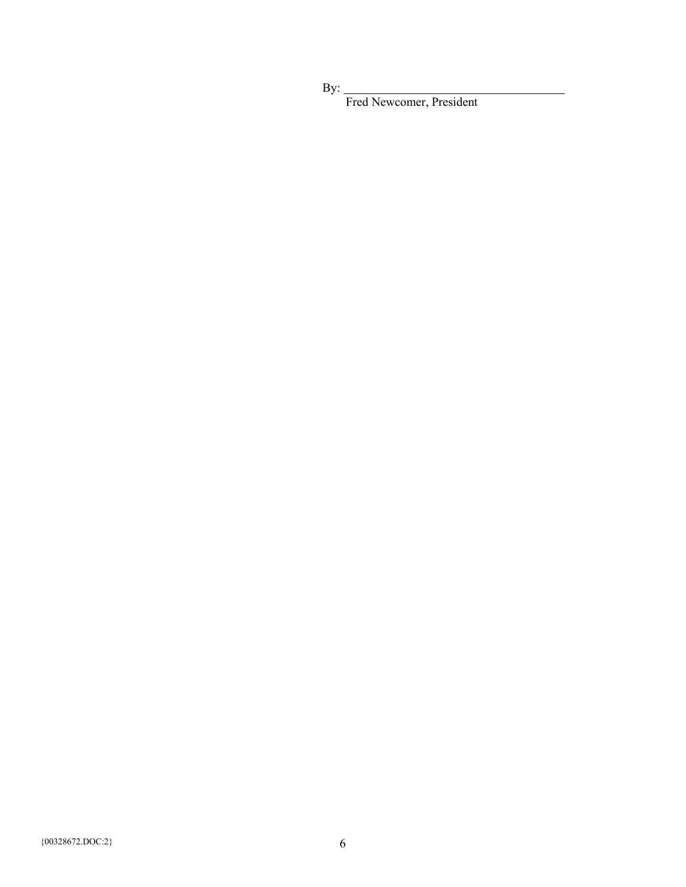By:

Fred Newcomer, President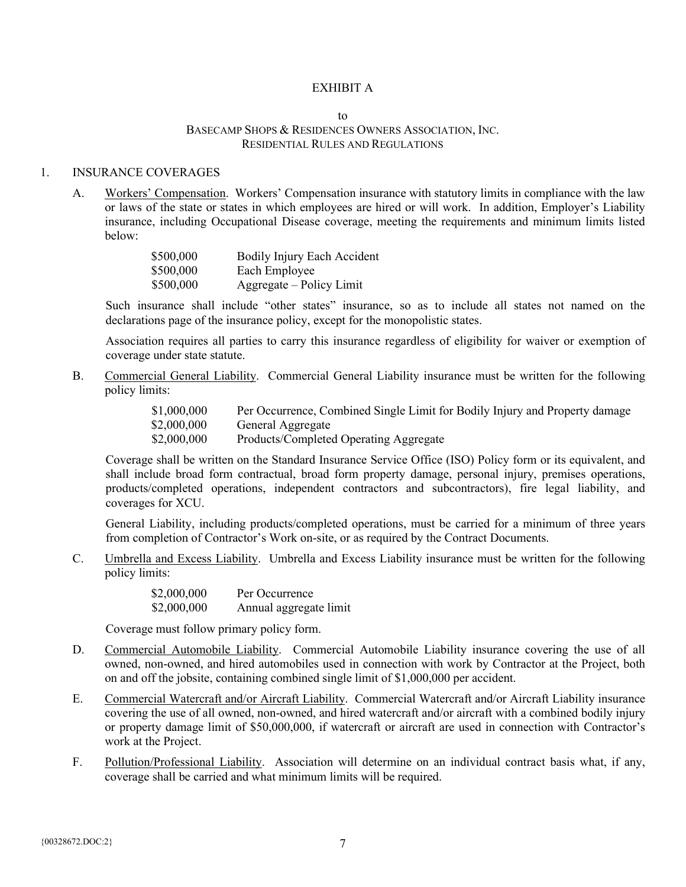#### EXHIBIT A

#### $t_0$ BASECAMP SHOPS & RESIDENCES OWNERS ASSOCIATION, INC. RESIDENTIAL RULES AND REGULATIONS

### 1. INSURANCE COVERAGES

A. Workers' Compensation. Workers' Compensation insurance with statutory limits in compliance with the law or laws of the state or states in which employees are hired or will work. In addition, Employer's Liability insurance, including Occupational Disease coverage, meeting the requirements and minimum limits listed below:

| \$500,000 | Bodily Injury Each Accident |
|-----------|-----------------------------|
| \$500,000 | Each Employee               |
| \$500,000 | Aggregate – Policy Limit    |

Such insurance shall include "other states" insurance, so as to include all states not named on the declarations page of the insurance policy, except for the monopolistic states.

Association requires all parties to carry this insurance regardless of eligibility for waiver or exemption of coverage under state statute.

B. Commercial General Liability. Commercial General Liability insurance must be written for the following policy limits:

> \$1,000,000 Per Occurrence, Combined Single Limit for Bodily Injury and Property damage \$2,000,000 General Aggregate General Aggregate \$2,000,000 Products/Completed Operating Aggregate

Coverage shall be written on the Standard Insurance Service Office (ISO) Policy form or its equivalent, and shall include broad form contractual, broad form property damage, personal injury, premises operations, products/completed operations, independent contractors and subcontractors), fire legal liability, and coverages for XCU.

General Liability, including products/completed operations, must be carried for a minimum of three years from completion of Contractor's Work on-site, or as required by the Contract Documents.

C. Umbrella and Excess Liability. Umbrella and Excess Liability insurance must be written for the following policy limits:

> \$2,000,000 Per Occurrence \$2,000,000 Annual aggregate limit

Coverage must follow primary policy form.

- D. Commercial Automobile Liability. Commercial Automobile Liability insurance covering the use of all owned, non-owned, and hired automobiles used in connection with work by Contractor at the Project, both on and off the jobsite, containing combined single limit of \$1,000,000 per accident.
- E. Commercial Watercraft and/or Aircraft Liability. Commercial Watercraft and/or Aircraft Liability insurance covering the use of all owned, non-owned, and hired watercraft and/or aircraft with a combined bodily injury or property damage limit of \$50,000,000, if watercraft or aircraft are used in connection with Contractor's work at the Project.
- F. Pollution/Professional Liability. Association will determine on an individual contract basis what, if any, coverage shall be carried and what minimum limits will be required.